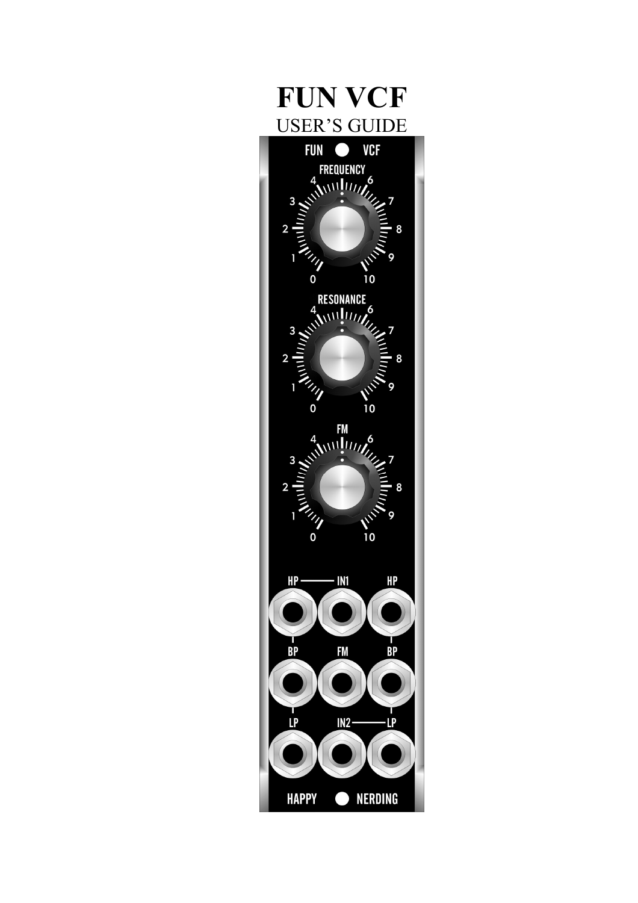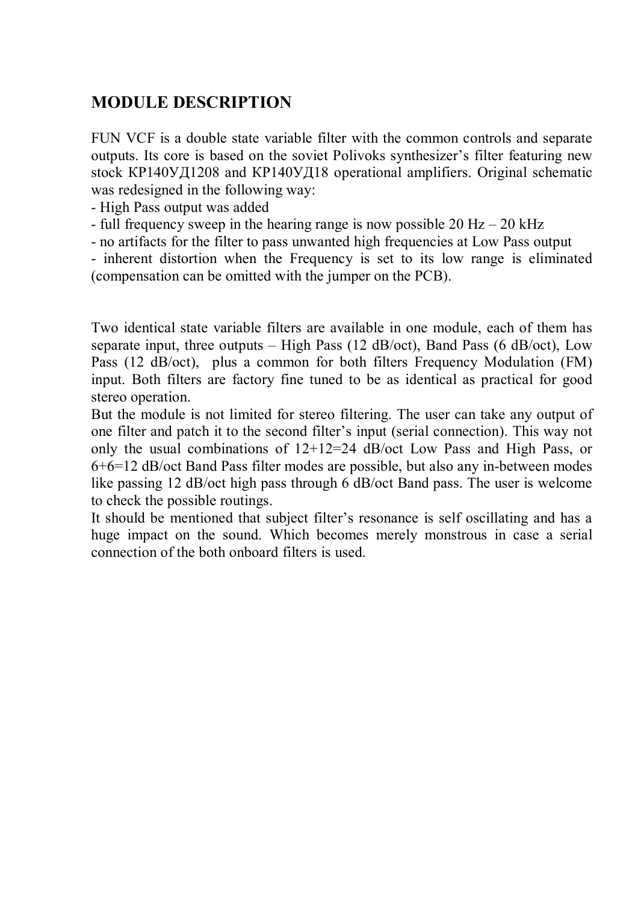# **MODULE DESCRIPTION**

FUN VCF is a double state variable filter with the common controls and separate outputs. Its core is based on the soviet Polivoks synthesizer's filter featuring new stock КР140УД1208 and КР140УД18 operational amplifiers. Original schematic was redesigned in the following way:

- High Pass output was added
- full frequency sweep in the hearing range is now possible  $20$  Hz  $20$  kHz
- no artifacts for the filter to pass unwanted high frequencies at Low Pass output

- inherent distortion when the Frequency is set to its low range is eliminated (compensation can be omitted with the jumper on the PCB).

Two identical state variable filters are available in one module, each of them has separate input, three outputs – High Pass (12 dB/oct), Band Pass (6 dB/oct), Low Pass (12 dB/oct), plus a common for both filters Frequency Modulation (FM) input. Both filters are factory fine tuned to be as identical as practical for good stereo operation.

But the module is not limited for stereo filtering. The user can take any output of one filter and patch it to the second filter's input (serial connection). This way not only the usual combinations of 12+12=24 dB/oct Low Pass and High Pass, or 6+6=12 dB/oct Band Pass filter modes are possible, but also any in-between modes like passing 12 dB/oct high pass through 6 dB/oct Band pass. The user is welcome to check the possible routings.

It should be mentioned that subject filter's resonance is self oscillating and has a huge impact on the sound. Which becomes merely monstrous in case a serial connection of the both onboard filters is used.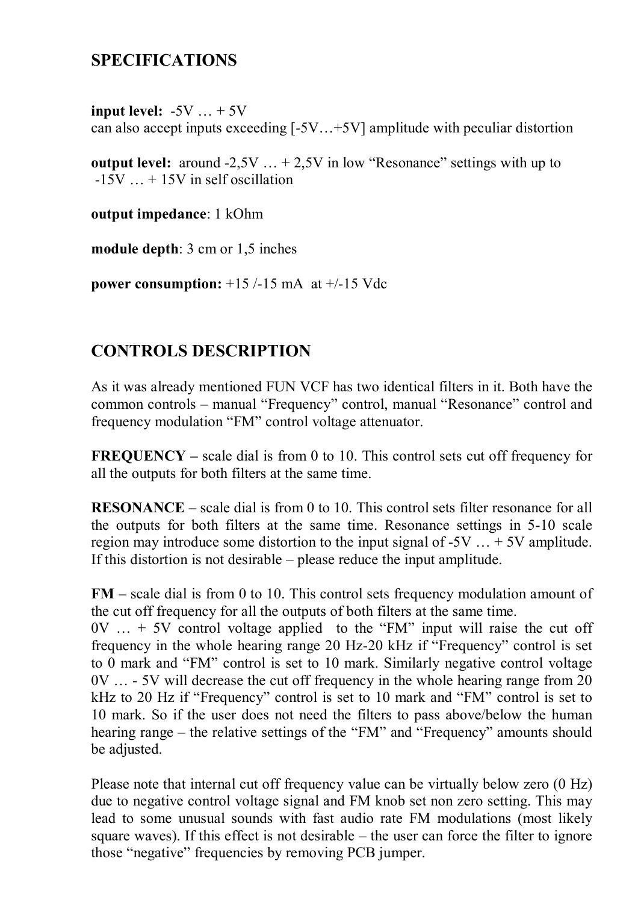#### **SPECIFICATIONS**

**input level:**  $-5V$   $\ldots +5V$ can also accept inputs exceeding [-5V…+5V] amplitude with peculiar distortion

**output level:** around  $-2.5V$   $\ldots + 2.5V$  in low "Resonance" settings with up to  $-15V$   $\ldots$  + 15V in self oscillation

**output impedance**: 1 kOhm

**module depth**: 3 cm or 1,5 inches

**power consumption:** +15 /-15 mA at +/-15 Vdc

# **CONTROLS DESCRIPTION**

As it was already mentioned FUN VCF has two identical filters in it. Both have the common controls – manual "Frequency" control, manual "Resonance" control and frequency modulation "FM" control voltage attenuator.

**FREQUENCY –** scale dial is from 0 to 10. This control sets cut off frequency for all the outputs for both filters at the same time.

**RESONANCE –** scale dial is from 0 to 10. This control sets filter resonance for all the outputs for both filters at the same time. Resonance settings in 5-10 scale region may introduce some distortion to the input signal of  $-5V$  ...  $+5V$  amplitude. If this distortion is not desirable – please reduce the input amplitude.

**FM –** scale dial is from 0 to 10. This control sets frequency modulation amount of the cut off frequency for all the outputs of both filters at the same time.

 $0V$   $\ldots$  + 5V control voltage applied to the "FM" input will raise the cut off frequency in the whole hearing range 20 Hz-20 kHz if "Frequency" control is set to 0 mark and "FM" control is set to 10 mark. Similarly negative control voltage 0V … - 5V will decrease the cut off frequency in the whole hearing range from 20 kHz to 20 Hz if "Frequency" control is set to 10 mark and "FM" control is set to 10 mark. So if the user does not need the filters to pass above/below the human hearing range – the relative settings of the "FM" and "Frequency" amounts should be adjusted.

Please note that internal cut off frequency value can be virtually below zero (0 Hz) due to negative control voltage signal and FM knob set non zero setting. This may lead to some unusual sounds with fast audio rate FM modulations (most likely square waves). If this effect is not desirable – the user can force the filter to ignore those "negative" frequencies by removing PCB jumper.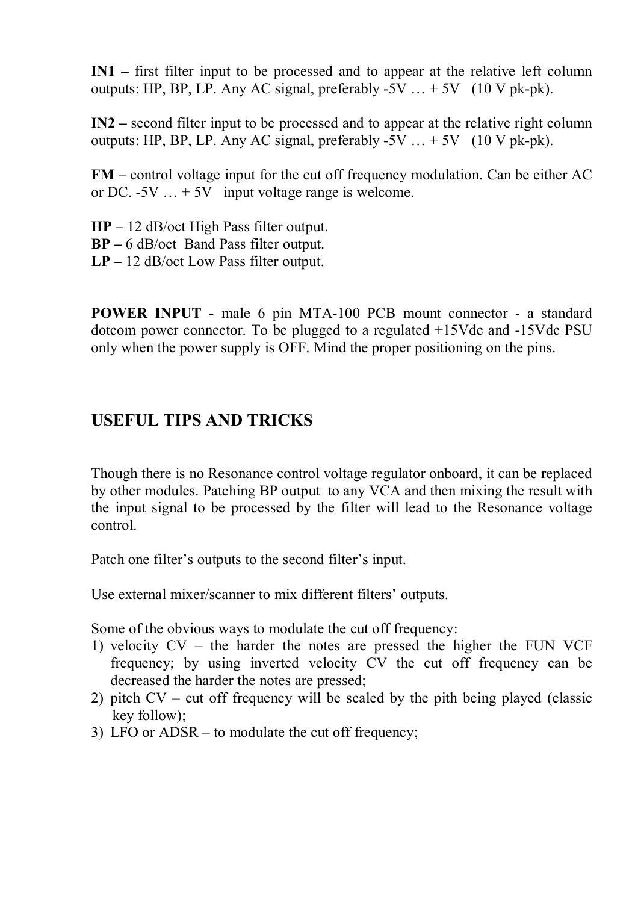**IN1 –** first filter input to be processed and to appear at the relative left column outputs: HP, BP, LP, Any AC signal, preferably  $-5V$   $\ldots +5V$  (10 V pk-pk).

**IN2 –** second filter input to be processed and to appear at the relative right column outputs: HP, BP, LP. Any AC signal, preferably  $-5V$   $\ldots +5V$  (10 V pk-pk).

**FM** – control voltage input for the cut off frequency modulation. Can be either AC or DC.  $-5V$   $\ldots +5V$  input voltage range is welcome.

**HP –** 12 dB/oct High Pass filter output. **BP –** 6 dB/oct Band Pass filter output. **LP –** 12 dB/oct Low Pass filter output.

**POWER INPUT** - male 6 pin MTA-100 PCB mount connector - a standard dotcom power connector. To be plugged to a regulated +15Vdc and -15Vdc PSU only when the power supply is OFF. Mind the proper positioning on the pins.

#### **USEFUL TIPS AND TRICKS**

Though there is no Resonance control voltage regulator onboard, it can be replaced by other modules. Patching BP output to any VCA and then mixing the result with the input signal to be processed by the filter will lead to the Resonance voltage control.

Patch one filter's outputs to the second filter's input.

Use external mixer/scanner to mix different filters' outputs.

Some of the obvious ways to modulate the cut off frequency:

- 1) velocity CV the harder the notes are pressed the higher the FUN VCF frequency; by using inverted velocity CV the cut off frequency can be decreased the harder the notes are pressed;
- 2) pitch CV cut off frequency will be scaled by the pith being played (classic key follow);
- 3) LFO or ADSR to modulate the cut off frequency;